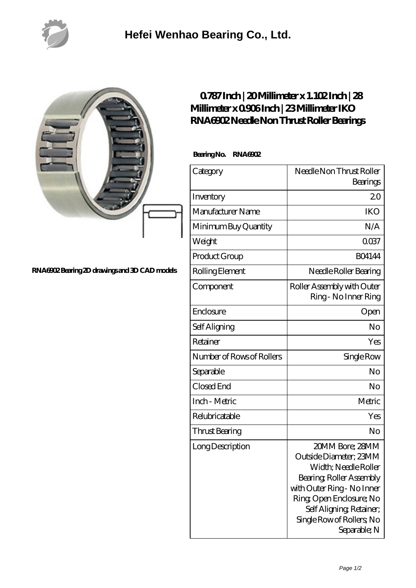

|                                               | 0787Inch   20 Millimeter x 1. 102Inch   28<br>Millimeter x 0906Inch   23 Millimeter IKO<br>RNAGO2Needle Non Thrust Roller Bearings |                                                                                                                                                                                   |
|-----------------------------------------------|------------------------------------------------------------------------------------------------------------------------------------|-----------------------------------------------------------------------------------------------------------------------------------------------------------------------------------|
|                                               | Bearing No. RNAGO2                                                                                                                 |                                                                                                                                                                                   |
|                                               | Category                                                                                                                           | Needle Non Thrust Roller<br>Bearings                                                                                                                                              |
|                                               | Inventory                                                                                                                          | 20                                                                                                                                                                                |
|                                               | Manufacturer Name                                                                                                                  | <b>IKO</b>                                                                                                                                                                        |
|                                               | Minimum Buy Quantity                                                                                                               | N/A                                                                                                                                                                               |
|                                               | Weight                                                                                                                             | 0037                                                                                                                                                                              |
|                                               | Product Group                                                                                                                      | <b>BO4144</b>                                                                                                                                                                     |
| RNA6902 Bearing 2D drawings and 3D CAD models | Rolling Element                                                                                                                    | Needle Roller Bearing                                                                                                                                                             |
|                                               | Component                                                                                                                          | Roller Assembly with Outer<br>Ring - No Inner Ring                                                                                                                                |
|                                               | Enclosure                                                                                                                          | Open                                                                                                                                                                              |
|                                               | Self Aligning                                                                                                                      | No                                                                                                                                                                                |
|                                               | Retainer                                                                                                                           | Yes                                                                                                                                                                               |
|                                               | Number of Rows of Rollers                                                                                                          | Single Row                                                                                                                                                                        |
|                                               | Separable                                                                                                                          | No                                                                                                                                                                                |
|                                               | Closed End                                                                                                                         | No                                                                                                                                                                                |
|                                               | Inch - Metric                                                                                                                      | Metric                                                                                                                                                                            |
|                                               | Relubricatable                                                                                                                     | Yes                                                                                                                                                                               |
|                                               | Thrust Bearing                                                                                                                     | No                                                                                                                                                                                |
|                                               | Long Description                                                                                                                   | 20MM Bore; 28MM<br>Outside Diameter; 23MM<br>Width; Needle Roller<br>Bearing Roller Assembly<br>with Outer Ring - No Inner<br>Ring Open Enclosure; No<br>Self Aligning, Retainer, |

Separable; N

Single Row of Rollers; No